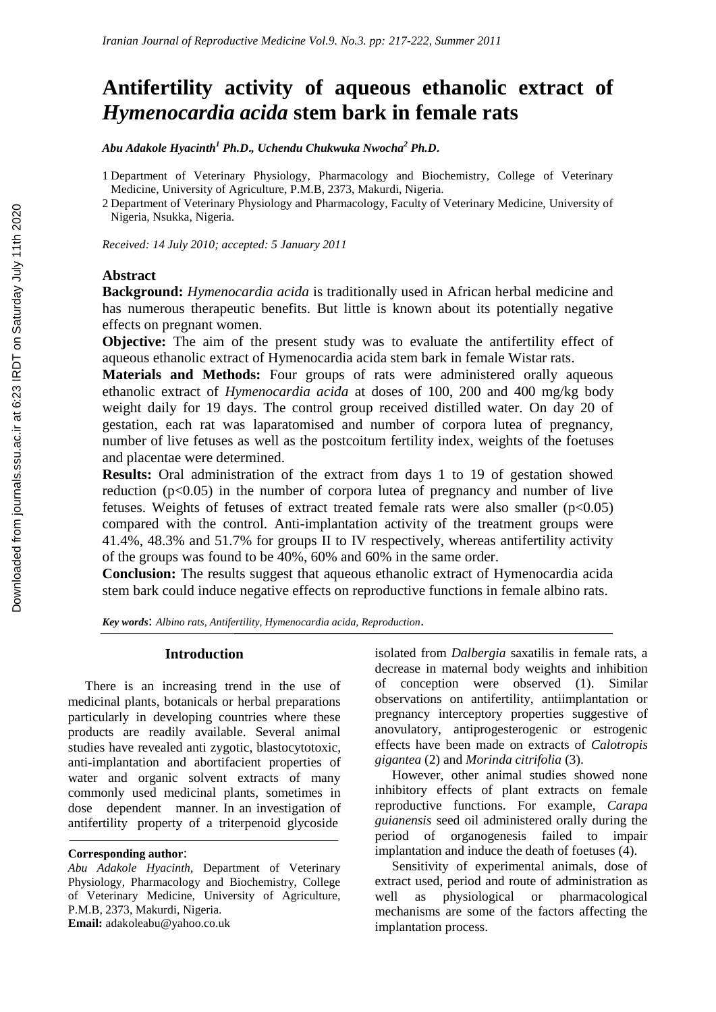# **Antifertility activity of aqueous ethanolic extract of**  *Hymenocardia acida* **stem bark in female rats**

*Abu Adakole Hyacinth<sup>1</sup> Ph.D***.***, Uchendu Chukwuka Nwocha<sup>2</sup> Ph.D***.**

1 Department of Veterinary Physiology, Pharmacology and Biochemistry, College of Veterinary Medicine, University of Agriculture, P.M.B, 2373, Makurdi, Nigeria.

2 Department of Veterinary Physiology and Pharmacology, Faculty of Veterinary Medicine, University of Nigeria, Nsukka, Nigeria.

*Received: 14 July 2010; accepted: 5 January 2011*

#### **Abstract**

**Background:** *Hymenocardia acida* is traditionally used in African herbal medicine and has numerous therapeutic benefits. But little is known about its potentially negative effects on pregnant women.

**Objective:** The aim of the present study was to evaluate the antifertility effect of aqueous ethanolic extract of Hymenocardia acida stem bark in female Wistar rats.

**Materials and Methods:** Four groups of rats were administered orally aqueous ethanolic extract of *Hymenocardia acida* at doses of 100, 200 and 400 mg/kg body weight daily for 19 days. The control group received distilled water. On day 20 of gestation, each rat was laparatomised and number of corpora lutea of pregnancy, number of live fetuses as well as the postcoitum fertility index, weights of the foetuses and placentae were determined.

**Results:** Oral administration of the extract from days 1 to 19 of gestation showed reduction  $(p<0.05)$  in the number of corpora lutea of pregnancy and number of live fetuses. Weights of fetuses of extract treated female rats were also smaller  $(p<0.05)$ compared with the control. Anti-implantation activity of the treatment groups were 41.4%, 48.3% and 51.7% for groups II to IV respectively, whereas antifertility activity of the groups was found to be 40%, 60% and 60% in the same order.

**Conclusion:** The results suggest that aqueous ethanolic extract of Hymenocardia acida stem bark could induce negative effects on reproductive functions in female albino rats.

*Key words*: *Albino rats, Antifertility, Hymenocardia acida, Reproduction*.

#### **Introduction**

There is an increasing trend in the use of medicinal plants, botanicals or herbal preparations particularly in developing countries where these products are readily available. Several animal studies have revealed anti zygotic, blastocytotoxic, anti-implantation and abortifacient properties of water and organic solvent extracts of many commonly used medicinal plants, sometimes in dose dependent manner. In an investigation of antifertility property of a triterpenoid glycoside

isolated from *Dalbergia* saxatilis in female rats, a decrease in maternal body weights and inhibition of conception were observed (1). Similar observations on antifertility, antiimplantation or pregnancy interceptory properties suggestive of anovulatory, antiprogesterogenic or estrogenic effects have been made on extracts of *Calotropis gigantea* (2) and *Morinda citrifolia* (3).

However, other animal studies showed none inhibitory effects of plant extracts on female reproductive functions. For example, *Carapa guianensis* seed oil administered orally during the period of organogenesis failed to impair implantation and induce the death of foetuses (4).

Sensitivity of experimental animals, dose of extract used, period and route of administration as well as physiological or pharmacological mechanisms are some of the factors affecting the implantation process.

**Corresponding author**:

*Abu Adakole Hyacinth,* Department of Veterinary Physiology, Pharmacology and Biochemistry, College of Veterinary Medicine, University of Agriculture, P.M.B, 2373, Makurdi, Nigeria. **Email:** adakoleabu@yahoo.co.uk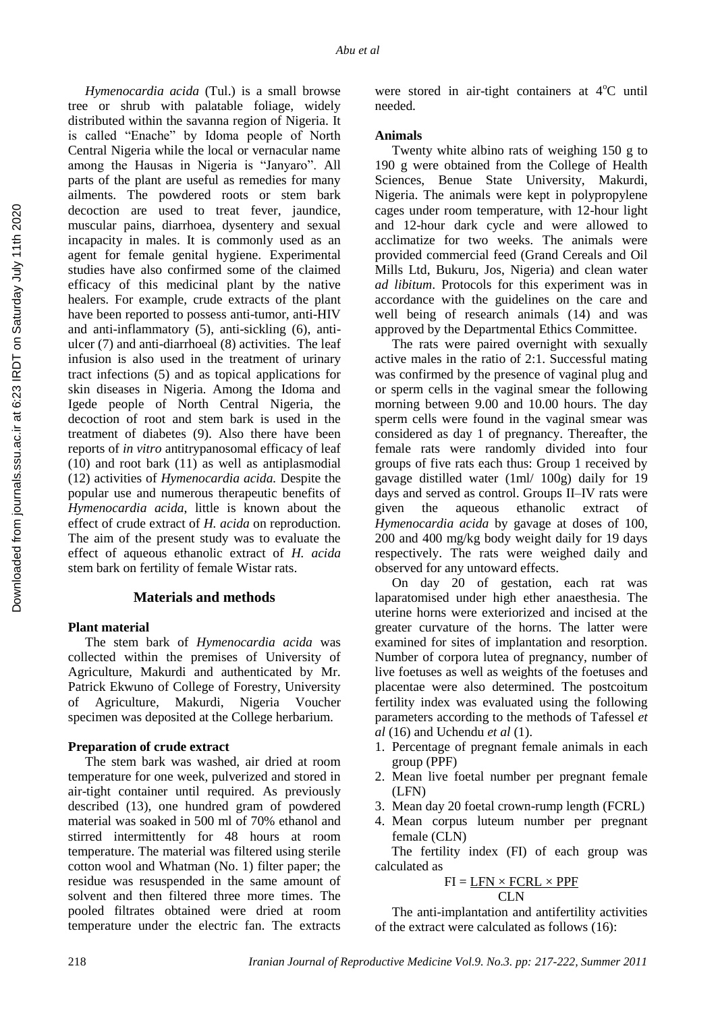*Hymenocardia acida* (Tul.) is a small browse tree or shrub with palatable foliage, widely distributed within the savanna region of Nigeria. It is called "Enache" by Idoma people of North Central Nigeria while the local or vernacular name among the Hausas in Nigeria is "Janyaro". All parts of the plant are useful as remedies for many ailments. The powdered roots or stem bark decoction are used to treat fever, jaundice, muscular pains, diarrhoea, dysentery and sexual incapacity in males. It is commonly used as an agent for female genital hygiene. Experimental studies have also confirmed some of the claimed efficacy of this medicinal plant by the native healers. For example, crude extracts of the plant have been reported to possess anti-tumor, anti-HIV and anti-inflammatory (5), anti-sickling (6), antiulcer (7) and anti-diarrhoeal (8) activities. The leaf infusion is also used in the treatment of urinary tract infections (5) and as topical applications for skin diseases in Nigeria. Among the Idoma and Igede people of North Central Nigeria, the decoction of root and stem bark is used in the treatment of diabetes (9). Also there have been reports of *in vitro* antitrypanosomal efficacy of leaf (10) and root bark (11) as well as antiplasmodial (12) activities of *Hymenocardia acida.* Despite the popular use and numerous therapeutic benefits of *Hymenocardia acida*, little is known about the effect of crude extract of *H. acida* on reproduction. The aim of the present study was to evaluate the effect of aqueous ethanolic extract of *H. acida* stem bark on fertility of female Wistar rats.

# **Materials and methods**

# **Plant material**

The stem bark of *Hymenocardia acida* was collected within the premises of University of Agriculture, Makurdi and authenticated by Mr. Patrick Ekwuno of College of Forestry, University of Agriculture, Makurdi, Nigeria Voucher specimen was deposited at the College herbarium.

# **Preparation of crude extract**

The stem bark was washed, air dried at room temperature for one week, pulverized and stored in air-tight container until required. As previously described (13), one hundred gram of powdered material was soaked in 500 ml of 70% ethanol and stirred intermittently for 48 hours at room temperature. The material was filtered using sterile cotton wool and Whatman (No. 1) filter paper; the residue was resuspended in the same amount of solvent and then filtered three more times. The pooled filtrates obtained were dried at room temperature under the electric fan. The extracts were stored in air-tight containers at  $4^{\circ}$ C until needed.

# **Animals**

Twenty white albino rats of weighing 150 g to 190 g were obtained from the College of Health Sciences, Benue State University, Makurdi, Nigeria. The animals were kept in polypropylene cages under room temperature, with 12-hour light and 12-hour dark cycle and were allowed to acclimatize for two weeks. The animals were provided commercial feed (Grand Cereals and Oil Mills Ltd, Bukuru, Jos, Nigeria) and clean water *ad libitum*. Protocols for this experiment was in accordance with the guidelines on the care and well being of research animals (14) and was approved by the Departmental Ethics Committee.

The rats were paired overnight with sexually active males in the ratio of 2:1. Successful mating was confirmed by the presence of vaginal plug and or sperm cells in the vaginal smear the following morning between 9.00 and 10.00 hours. The day sperm cells were found in the vaginal smear was considered as day 1 of pregnancy. Thereafter, the female rats were randomly divided into four groups of five rats each thus: Group 1 received by gavage distilled water (1ml/ 100g) daily for 19 days and served as control. Groups II–IV rats were given the aqueous ethanolic extract of *Hymenocardia acida* by gavage at doses of 100, 200 and 400 mg/kg body weight daily for 19 days respectively. The rats were weighed daily and observed for any untoward effects.

On day 20 of gestation, each rat was laparatomised under high ether anaesthesia. The uterine horns were exteriorized and incised at the greater curvature of the horns. The latter were examined for sites of implantation and resorption. Number of corpora lutea of pregnancy, number of live foetuses as well as weights of the foetuses and placentae were also determined. The postcoitum fertility index was evaluated using the following parameters according to the methods of Tafessel *et al* (16) and Uchendu *et al* (1).

- 1. Percentage of pregnant female animals in each group (PPF)
- 2. Mean live foetal number per pregnant female (LFN)
- 3. Mean day 20 foetal crown-rump length (FCRL)
- 4. Mean corpus luteum number per pregnant female (CLN)

 The fertility index (FI) of each group was calculated as

$$
FI = \underline{LFN \times FCRL \times PPF} \quad CLN
$$

The anti-implantation and antifertility activities of the extract were calculated as follows (16):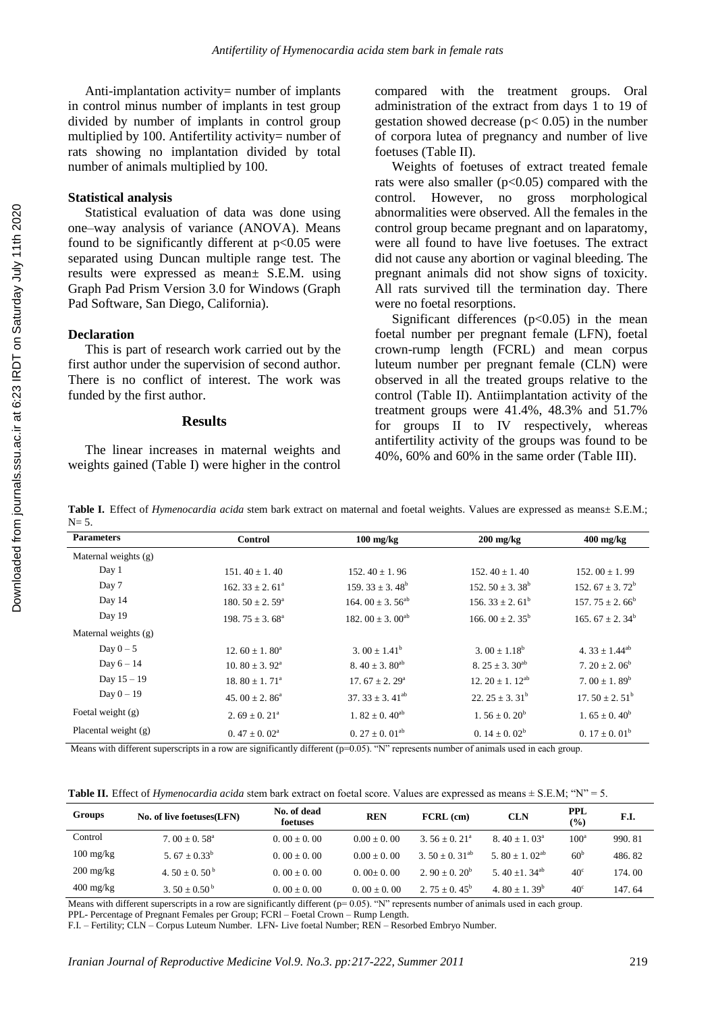Anti-implantation activity= number of implants in control minus number of implants in test group divided by number of implants in control group multiplied by 100. Antifertility activity= number of rats showing no implantation divided by total number of animals multiplied by 100.

#### **Statistical analysis**

Statistical evaluation of data was done using one–way analysis of variance (ANOVA). Means found to be significantly different at  $p<0.05$  were separated using Duncan multiple range test. The results were expressed as mean± S.E.M. using Graph Pad Prism Version 3.0 for Windows (Graph Pad Software, San Diego, California).

## **Declaration**

This is part of research work carried out by the first author under the supervision of second author. There is no conflict of interest. The work was funded by the first author.

#### **Results**

The linear increases in maternal weights and weights gained (Table I) were higher in the control compared with the treatment groups. Oral administration of the extract from days 1 to 19 of gestation showed decrease ( $p < 0.05$ ) in the number of corpora lutea of pregnancy and number of live foetuses (Table II).

Weights of foetuses of extract treated female rats were also smaller  $(p<0.05)$  compared with the control. However, no gross morphological abnormalities were observed. All the females in the control group became pregnant and on laparatomy, were all found to have live foetuses. The extract did not cause any abortion or vaginal bleeding. The pregnant animals did not show signs of toxicity. All rats survived till the termination day. There were no foetal resorptions.

Significant differences  $(p<0.05)$  in the mean foetal number per pregnant female (LFN), foetal crown-rump length (FCRL) and mean corpus luteum number per pregnant female (CLN) were observed in all the treated groups relative to the control (Table II). Antiimplantation activity of the treatment groups were 41.4%, 48.3% and 51.7% for groups II to IV respectively, whereas antifertility activity of the groups was found to be 40%, 60% and 60% in the same order (Table III).

**Table I.** Effect of *Hymenocardia acida* stem bark extract on maternal and foetal weights. Values are expressed as means± S.E.M.;  $N-5$ 

| <b>Parameters</b>    | <b>Control</b>                 | $100$ mg/kg                       | $200$ mg/kg                      | $400$ mg/kg                      |
|----------------------|--------------------------------|-----------------------------------|----------------------------------|----------------------------------|
| Maternal weights (g) |                                |                                   |                                  |                                  |
| Day 1                | $151.40 \pm 1.40$              | 152.40 $\pm$ 1.96                 | 152.40 $\pm$ 1.40                | 152, $00 \pm 1$ , 99             |
| Day 7                | 162. $33 \pm 2.61^{\circ}$     | 159. $33 \pm 3.48^b$              | 152. $50 \pm 3.38^{\circ}$       | 152. $67 \pm 3.72^b$             |
| Day 14               | 180, $50 \pm 2$ , $59^{\circ}$ | 164, 00 $\pm$ 3, 56 <sup>ab</sup> | 156. $33 \pm 2.61^b$             | 157, $75 \pm 2.66^{\circ}$       |
| Day 19               | 198. $75 \pm 3.68^{\circ}$     | 182, $00 \pm 3$ , $00^{ab}$       | 166, 00 $\pm$ 2, 35 <sup>b</sup> | 165, 67 $\pm$ 2, 34 <sup>b</sup> |
| Maternal weights (g) |                                |                                   |                                  |                                  |
| Day $0-5$            | 12. $60 \pm 1$ , $80^{\circ}$  | 3.00 + $1.41^{\rm b}$             | 3.00 $\pm$ 1.18 <sup>b</sup>     | 4. $33 \pm 1.44$ <sup>ab</sup>   |
| Day $6-14$           | 10.80 $\pm$ 3.92 <sup>a</sup>  | 8. 40 $\pm$ 3. 80 <sup>ab</sup>   | 8. $25 \pm 3$ . $30^{ab}$        | 7. $20 \pm 2$ , $06^{\circ}$     |
| Day $15 - 19$        | 18.80 $\pm$ 1.71 <sup>a</sup>  | 17. $67 \pm 2$ , $29^{\circ}$     | 12. $20 \pm 1$ , $12^{ab}$       | 7.00 $\pm$ 1.89 <sup>b</sup>     |
| Day $0-19$           | 45.00 $\pm$ 2.86 <sup>a</sup>  | 37. $33 \pm 3$ . $41^{ab}$        | 22. $25 \pm 3.31^{\circ}$        | 17.50 $\pm$ 2.51 <sup>b</sup>    |
| Foetal weight $(g)$  | 2. $69 \pm 0.21^{\circ}$       | 1. $82 \pm 0.40^{\text{ab}}$      | 1.56 $\pm$ 0.20 <sup>b</sup>     | 1.65 $\pm$ 0.40 <sup>b</sup>     |
| Placental weight (g) | $0.47 \pm 0.02^{\circ}$        | 0. $27 \pm 0.01^{ab}$             | 0. $14 \pm 0.02^b$               | 0. $17 \pm 0.01^{\rm b}$         |

Means with different superscripts in a row are significantly different ( $p=0.05$ ). "N" represents number of animals used in each group.

**Table II.** Effect of *Hymenocardia acida* stem bark extract on foetal score. Values are expressed as means ± S.E.M; "N" = 5.

| <b>Groups</b>       | No. of live foetuses (LFN) | No. of dead<br>foetuses | <b>REN</b>    | FCRL (cm)                 | <b>CLN</b>                | <b>PPL</b><br>(%) | F.I.   |
|---------------------|----------------------------|-------------------------|---------------|---------------------------|---------------------------|-------------------|--------|
| Control             | 7.00 + 0.58 <sup>a</sup>   | $0.00 + 0.00$           | $0.00 + 0.00$ | $3.56 \pm 0.21^{\circ}$   | $8.40 + 1.03a$            | $100^a$           | 990.81 |
| $100 \text{ mg/kg}$ | 5.67 + $0.33^b$            | $0.00 + 0.00$           | $0.00 + 0.00$ | 3.50 + 0.31 <sup>ab</sup> | 5.80 + 1.02 <sup>ab</sup> | 60 <sup>b</sup>   | 486.82 |
| $200 \text{ mg/kg}$ | 4.50 + 0.50 <sup>b</sup>   | $0.00 + 0.00$           | $0.00+0.00$   | 2. 90 + 0. $20^{\rm b}$   | 5.40 +1.34 <sup>ab</sup>  | $40^\circ$        | 174.00 |
| $400 \text{ mg/kg}$ | 3.50 + $0.50^{\mathrm{b}}$ | $0.00 + 0.00$           | $0.00 + 0.00$ | 2. $75 + 0.45^{\circ}$    | 4.80 + 1.39 <sup>b</sup>  | $40^\circ$        | 147.64 |

Means with different superscripts in a row are significantly different (p= 0.05). "N" represents number of animals used in each group.

PPL- Percentage of Pregnant Females per Group; FCRl – Foetal Crown – Rump Length.

F.I. – Fertility; CLN – Corpus Luteum Number. LFN- Live foetal Number; REN – Resorbed Embryo Number.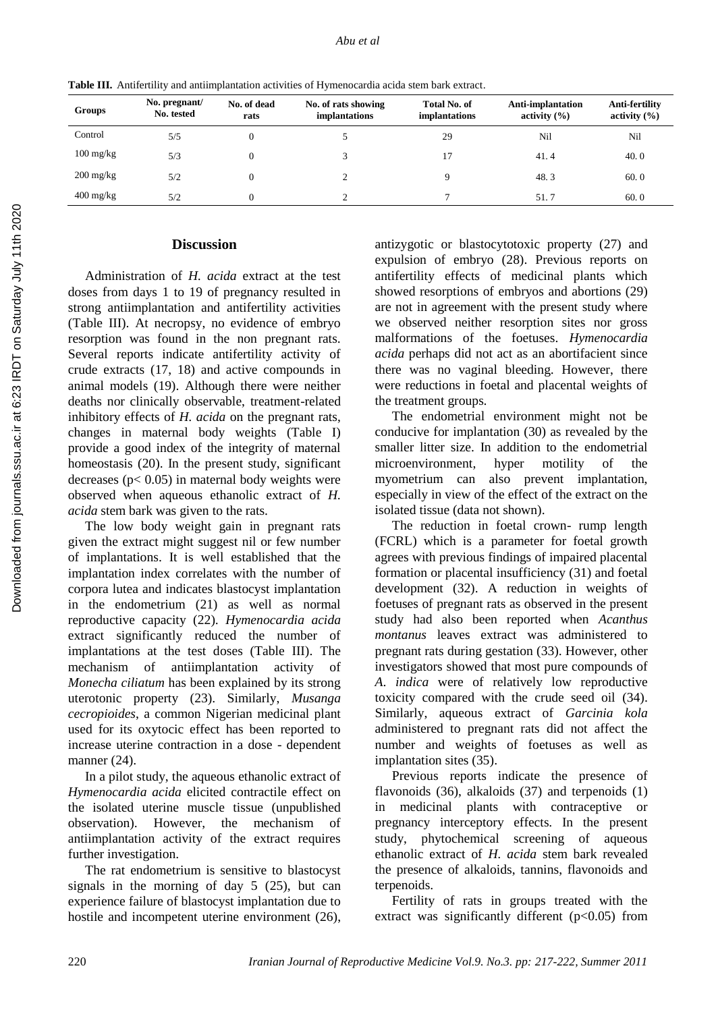| Groups              | No. pregnant/<br>No. tested | No. of dead<br>rats | No. of rats showing<br>implantations | <b>Total No. of</b><br>implantations | Anti-implantation<br>activity $(\% )$ | Anti-fertility<br>activity $(\% )$ |
|---------------------|-----------------------------|---------------------|--------------------------------------|--------------------------------------|---------------------------------------|------------------------------------|
| Control             | 5/5                         |                     |                                      | 29                                   | Nil                                   | Nil                                |
| $100 \text{ mg/kg}$ | 5/3                         |                     |                                      |                                      | 41.4                                  | 40.0                               |
| $200 \text{ mg/kg}$ | 5/2                         |                     |                                      |                                      | 48.3                                  | 60.0                               |
| $400 \text{ mg/kg}$ | 5/2                         | $\theta$            | ↑                                    |                                      | 51.7                                  | 60.0                               |

**Table III.** Antifertility and antiimplantation activities of Hymenocardia acida stem bark extract.

### **Discussion**

Administration of *H. acida* extract at the test doses from days 1 to 19 of pregnancy resulted in strong antiimplantation and antifertility activities (Table III). At necropsy, no evidence of embryo resorption was found in the non pregnant rats. Several reports indicate antifertility activity of crude extracts (17, 18) and active compounds in animal models (19). Although there were neither deaths nor clinically observable, treatment-related inhibitory effects of *H. acida* on the pregnant rats, changes in maternal body weights (Table I) provide a good index of the integrity of maternal homeostasis (20). In the present study, significant decreases ( $p < 0.05$ ) in maternal body weights were observed when aqueous ethanolic extract of *H. acida* stem bark was given to the rats.

The low body weight gain in pregnant rats given the extract might suggest nil or few number of implantations. It is well established that the implantation index correlates with the number of corpora lutea and indicates blastocyst implantation in the endometrium (21) as well as normal reproductive capacity (22). *Hymenocardia acida* extract significantly reduced the number of implantations at the test doses (Table III). The mechanism of antiimplantation activity of *Monecha ciliatum* has been explained by its strong uterotonic property (23). Similarly, *Musanga cecropioides*, a common Nigerian medicinal plant used for its oxytocic effect has been reported to increase uterine contraction in a dose - dependent manner (24).

In a pilot study, the aqueous ethanolic extract of *Hymenocardia acida* elicited contractile effect on the isolated uterine muscle tissue (unpublished observation). However, the mechanism of antiimplantation activity of the extract requires further investigation.

The rat endometrium is sensitive to blastocyst signals in the morning of day 5 (25), but can experience failure of blastocyst implantation due to hostile and incompetent uterine environment (26), antizygotic or blastocytotoxic property (27) and expulsion of embryo (28). Previous reports on antifertility effects of medicinal plants which showed resorptions of embryos and abortions (29) are not in agreement with the present study where we observed neither resorption sites nor gross malformations of the foetuses. *Hymenocardia acida* perhaps did not act as an abortifacient since there was no vaginal bleeding. However, there were reductions in foetal and placental weights of the treatment groups.

The endometrial environment might not be conducive for implantation (30) as revealed by the smaller litter size. In addition to the endometrial microenvironment, hyper motility of the myometrium can also prevent implantation, especially in view of the effect of the extract on the isolated tissue (data not shown).

The reduction in foetal crown- rump length (FCRL) which is a parameter for foetal growth agrees with previous findings of impaired placental formation or placental insufficiency (31) and foetal development (32). A reduction in weights of foetuses of pregnant rats as observed in the present study had also been reported when *Acanthus montanus* leaves extract was administered to pregnant rats during gestation (33). However, other investigators showed that most pure compounds of *A*. *indica* were of relatively low reproductive toxicity compared with the crude seed oil (34). Similarly, aqueous extract of *Garcinia kola* administered to pregnant rats did not affect the number and weights of foetuses as well as implantation sites (35).

Previous reports indicate the presence of flavonoids (36), alkaloids (37) and terpenoids (1) in medicinal plants with contraceptive or pregnancy interceptory effects. In the present study, phytochemical screening of aqueous ethanolic extract of *H. acida* stem bark revealed the presence of alkaloids, tannins, flavonoids and terpenoids.

Fertility of rats in groups treated with the extract was significantly different  $(p<0.05)$  from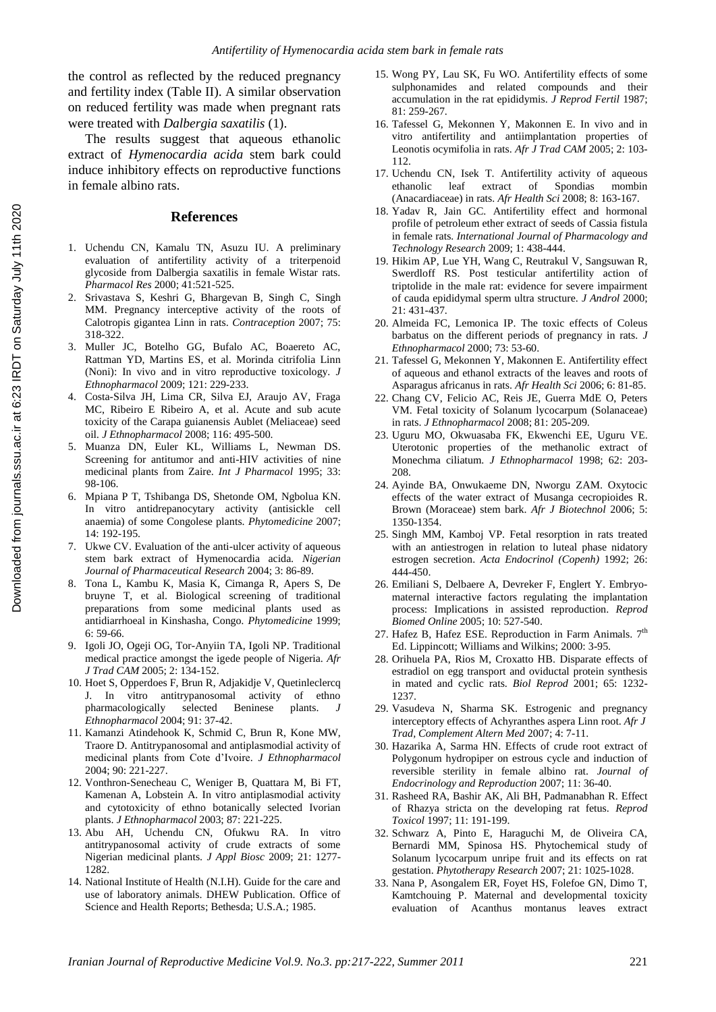the control as reflected by the reduced pregnancy and fertility index (Table II). A similar observation on reduced fertility was made when pregnant rats were treated with *Dalbergia saxatilis* (1).

The results suggest that aqueous ethanolic extract of *Hymenocardia acida* stem bark could induce inhibitory effects on reproductive functions in female albino rats.

## **References**

- 1. Uchendu CN, Kamalu TN, Asuzu IU. A preliminary evaluation of antifertility activity of a triterpenoid glycoside from Dalbergia saxatilis in female Wistar rats. *Pharmacol Res* 2000; 41:521-525.
- 2. Srivastava S, Keshri G, Bhargevan B, Singh C, Singh MM. Pregnancy interceptive activity of the roots of Calotropis gigantea Linn in rats. *Contraception* 2007; 75: 318-322.
- 3. Muller JC, Botelho GG, Bufalo AC, Boaereto AC, Rattman YD, Martins ES, et al. Morinda citrifolia Linn (Noni): In vivo and in vitro reproductive toxicology. *J Ethnopharmacol* 2009; 121: 229-233.
- 4. Costa-Silva JH, Lima CR, Silva EJ, Araujo AV, Fraga MC, Ribeiro E Ribeiro A, et al. Acute and sub acute toxicity of the Carapa guianensis Aublet (Meliaceae) seed oil*. J Ethnopharmacol* 2008; 116: 495-500.
- 5. Muanza DN, Euler KL, Williams L, Newman DS. Screening for antitumor and anti-HIV activities of nine medicinal plants from Zaire. *Int J Pharmacol* 1995; 33: 98-106.
- 6. Mpiana P T, Tshibanga DS, Shetonde OM, Ngbolua KN. In vitro antidrepanocytary activity (antisickle cell anaemia) of some Congolese plants. *Phytomedicine* 2007; 14: 192-195.
- 7. Ukwe CV. Evaluation of the anti-ulcer activity of aqueous stem bark extract of Hymenocardia acida*. Nigerian Journal of Pharmaceutical Research* 2004; 3: 86-89.
- 8. Tona L, Kambu K, Masia K, Cimanga R, Apers S, De bruyne T, et al. Biological screening of traditional preparations from some medicinal plants used as antidiarrhoeal in Kinshasha, Congo*. Phytomedicine* 1999; 6: 59-66.
- 9. Igoli JO, Ogeji OG, Tor-Anyiin TA, Igoli NP. Traditional medical practice amongst the igede people of Nigeria. *Afr J Trad CAM* 2005; 2: 134-152.
- 10. Hoet S, Opperdoes F, Brun R, Adjakidje V, Quetinleclercq J. In vitro antitrypanosomal activity of ethno pharmacologically selected Beninese plants. *Ethnopharmacol* 2004; 91: 37-42.
- 11. Kamanzi Atindehook K, Schmid C, Brun R, Kone MW, Traore D. Antitrypanosomal and antiplasmodial activity of medicinal plants from Cote d'Ivoire. *J Ethnopharmacol* 2004; 90: 221-227.
- 12. Vonthron-Senecheau C, Weniger B, Quattara M, Bi FT, Kamenan A, Lobstein A. In vitro antiplasmodial activity and cytotoxicity of ethno botanically selected Ivorian plants. *J Ethnopharmacol* 2003; 87: 221-225.
- 13. Abu AH, Uchendu CN, Ofukwu RA. In vitro antitrypanosomal activity of crude extracts of some Nigerian medicinal plants. *J Appl Biosc* 2009; 21: 1277- 1282.
- 14. National Institute of Health (N.I.H). Guide for the care and use of laboratory animals. DHEW Publication. Office of Science and Health Reports; Bethesda; U.S.A.; 1985.
- 15. Wong PY, Lau SK, Fu WO. Antifertility effects of some sulphonamides and related compounds and their accumulation in the rat epididymis. *J Reprod Fertil* 1987; 81: 259-267.
- 16. Tafessel G, Mekonnen Y, Makonnen E. In vivo and in vitro antifertility and antiimplantation properties of Leonotis ocymifolia in rats. *Afr J Trad CAM* 2005; 2: 103- 112.
- 17. Uchendu CN, Isek T. Antifertility activity of aqueous ethanolic leaf extract of Spondias mombin (Anacardiaceae) in rats. *Afr Health Sci* 2008; 8: 163-167.
- 18. Yadav R, Jain GC. Antifertility effect and hormonal profile of petroleum ether extract of seeds of Cassia fistula in female rats. *International Journal of Pharmacology and Technology Research* 2009; 1: 438-444.
- 19. Hikim AP, Lue YH, Wang C, Reutrakul V, Sangsuwan R, Swerdloff RS. Post testicular antifertility action of triptolide in the male rat: evidence for severe impairment of cauda epididymal sperm ultra structure. *J Androl* 2000; 21: 431-437.
- 20. Almeida FC, Lemonica IP. The toxic effects of Coleus barbatus on the different periods of pregnancy in rats. *J Ethnopharmacol* 2000; 73: 53-60.
- 21. Tafessel G, Mekonnen Y, Makonnen E. Antifertility effect of aqueous and ethanol extracts of the leaves and roots of Asparagus africanus in rats. *Afr Health Sci* 2006; 6: 81-85.
- 22. Chang CV, Felicio AC, Reis JE, Guerra MdE O, Peters VM. Fetal toxicity of Solanum lycocarpum (Solanaceae) in rats. *J Ethnopharmacol* 2008; 81: 205-209.
- 23. Uguru MO, Okwuasaba FK, Ekwenchi EE, Uguru VE. Uterotonic properties of the methanolic extract of Monechma ciliatum. *J Ethnopharmacol* 1998; 62: 203- 208.
- 24. Ayinde BA, Onwukaeme DN, Nworgu ZAM. Oxytocic effects of the water extract of Musanga cecropioides R. Brown (Moraceae) stem bark. *Afr J Biotechnol* 2006; 5: 1350-1354.
- 25. Singh MM, Kamboj VP. Fetal resorption in rats treated with an antiestrogen in relation to luteal phase nidatory estrogen secretion. *Acta Endocrinol (Copenh)* 1992; 26: 444-450.
- 26. Emiliani S, Delbaere A, Devreker F, Englert Y. Embryomaternal interactive factors regulating the implantation process: Implications in assisted reproduction. *Reprod Biomed Online* 2005; 10: 527-540.
- 27. Hafez B, Hafez ESE. Reproduction in Farm Animals.  $7<sup>th</sup>$ Ed. Lippincott; Williams and Wilkins; 2000: 3-95.
- 28. Orihuela PA, Rios M, Croxatto HB. Disparate effects of estradiol on egg transport and oviductal protein synthesis in mated and cyclic rats. *Biol Reprod* 2001; 65: 1232- 1237.
- 29. Vasudeva N, Sharma SK. Estrogenic and pregnancy interceptory effects of Achyranthes aspera Linn root. *Afr J Trad, Complement Altern Med* 2007; 4: 7-11.
- 30. Hazarika A, Sarma HN. Effects of crude root extract of Polygonum hydropiper on estrous cycle and induction of reversible sterility in female albino rat. *Journal of Endocrinology and Reproduction* 2007; 11: 36-40.
- 31. Rasheed RA, Bashir AK, Ali BH, Padmanabhan R. Effect of Rhazya stricta on the developing rat fetus. *Reprod Toxicol* 1997; 11: 191-199.
- 32. Schwarz A, Pinto E, Haraguchi M, de Oliveira CA, Bernardi MM, Spinosa HS. Phytochemical study of Solanum lycocarpum unripe fruit and its effects on rat gestation. *Phytotherapy Research* 2007; 21: 1025-1028.
- 33. Nana P, Asongalem ER, Foyet HS, Folefoe GN, Dimo T, Kamtchouing P. Maternal and developmental toxicity evaluation of Acanthus montanus leaves extract